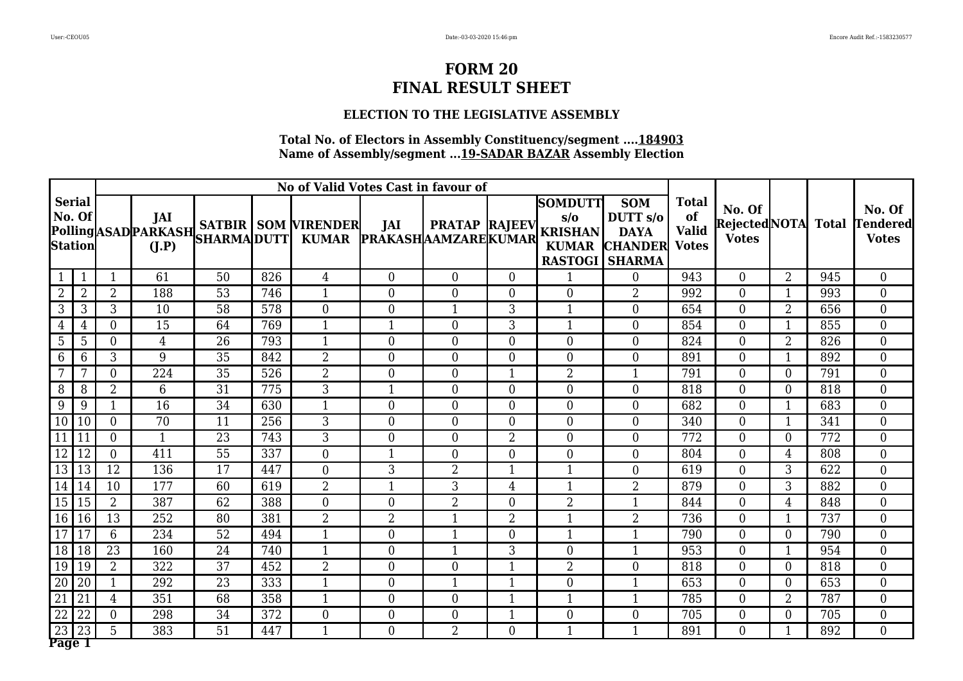#### **ELECTION TO THE LEGISLATIVE ASSEMBLY**

|                                           |                |                |                |                 | No of Valid Votes Cast in favour of |                                                                      |                                   |                      |                |                                                                |                                                                                          |                                    |                                               |                |     |                                           |
|-------------------------------------------|----------------|----------------|----------------|-----------------|-------------------------------------|----------------------------------------------------------------------|-----------------------------------|----------------------|----------------|----------------------------------------------------------------|------------------------------------------------------------------------------------------|------------------------------------|-----------------------------------------------|----------------|-----|-------------------------------------------|
| <b>Serial</b><br>No. Of<br><b>Station</b> |                |                | JAI<br>(I.P)   |                 |                                     | <b>Polling</b> ASAD PARKASH SATBIR SOM VIRENDER<br>SHARMA DUTT KUMAR | JAI<br><b>PRAKASHAAMZAREKUMAR</b> | <b>PRATAP RAJEEV</b> |                | <b>SOMDUTT</b><br>$s/\sigma$<br><b>KRISHAN</b><br><b>KUMAR</b> | <b>SOM</b><br>DUTT s/o<br><b>DAYA</b><br><b>CHANDER</b> Votes<br><b>RASTOGI   SHARMA</b> | <b>Total</b><br>of<br><b>Valid</b> | No. Of<br>Rejected NOTA Total<br><b>Votes</b> |                |     | No. Of<br><b>Tendered</b><br><b>Votes</b> |
|                                           |                | 1              | 61             | 50              | 826                                 | $\overline{4}$                                                       | $\overline{0}$                    | $\overline{0}$       | $\overline{0}$ | 1                                                              | $\overline{0}$                                                                           | 943                                | $\overline{0}$                                | 2              | 945 | $\overline{0}$                            |
| 2                                         | $\overline{2}$ | $\overline{2}$ | 188            | 53              | 746                                 | $\mathbf{1}$                                                         | $\overline{0}$                    | $\boldsymbol{0}$     | $\overline{0}$ | $\overline{0}$                                                 | $\overline{2}$                                                                           | 992                                | $\overline{0}$                                | $\mathbf{1}$   | 993 | $\overline{0}$                            |
| 3                                         | 3              | 3              | 10             | 58              | 578                                 | $\overline{0}$                                                       | $\boldsymbol{0}$                  | $\mathbf{1}$         | 3              | 1                                                              | $\overline{0}$                                                                           | 654                                | $\overline{0}$                                | $\overline{2}$ | 656 | $\overline{0}$                            |
| $\overline{4}$                            | 4              | $\theta$       | 15             | 64              | 769                                 | $\mathbf{1}$                                                         | $\mathbf{1}$                      | $\overline{0}$       | 3              | $\mathbf{1}$                                                   | $\overline{0}$                                                                           | 854                                | $\overline{0}$                                | $\mathbf{1}$   | 855 | $\overline{0}$                            |
| 5                                         | 5              | $\Omega$       | $\overline{4}$ | 26              | 793                                 | $\mathbf{1}$                                                         | $\overline{0}$                    | $\overline{0}$       | $\overline{0}$ | $\overline{0}$                                                 | $\overline{0}$                                                                           | 824                                | $\overline{0}$                                | $\overline{2}$ | 826 | $\overline{0}$                            |
| 6                                         | 6              | 3              | 9              | 35              | 842                                 | $\overline{2}$                                                       | $\theta$                          | $\overline{0}$       | $\overline{0}$ | $\overline{0}$                                                 | $\theta$                                                                                 | 891                                | $\overline{0}$                                | 1              | 892 | $\overline{0}$                            |
|                                           | 7              | $\Omega$       | 224            | 35              | 526                                 | $\overline{2}$                                                       | $\theta$                          | $\overline{0}$       | $\mathbf{1}$   | $\overline{2}$                                                 | $\mathbf{1}$                                                                             | 791                                | $\overline{0}$                                | $\Omega$       | 791 | $\overline{0}$                            |
| 8                                         | 8              | $\overline{2}$ | 6              | $\overline{31}$ | 775                                 | $\overline{3}$                                                       | $\mathbf{1}$                      | $\Omega$             | $\overline{0}$ | 0                                                              | $\overline{0}$                                                                           | 818                                | $\overline{0}$                                | $\Omega$       | 818 | $\overline{0}$                            |
| 9                                         | 9              |                | 16             | 34              | 630                                 | $\mathbf{1}$                                                         | $\theta$                          | $\overline{0}$       | $\overline{0}$ | $\overline{0}$                                                 | $\overline{0}$                                                                           | 682                                | $\Omega$                                      |                | 683 | $\overline{0}$                            |
| 10                                        | 10             | $\Omega$       | 70             | 11              | 256                                 | 3                                                                    | $\overline{0}$                    | $\overline{0}$       | $\overline{0}$ | 0                                                              | $\theta$                                                                                 | 340                                | $\overline{0}$                                | 1              | 341 | $\overline{0}$                            |
| 11                                        | 11             | $\overline{0}$ | $\mathbf{1}$   | 23              | 743                                 | 3                                                                    | $\overline{0}$                    | $\boldsymbol{0}$     | 2              | $\overline{0}$                                                 | $\boldsymbol{0}$                                                                         | 772                                | $\boldsymbol{0}$                              | $\theta$       | 772 | $\overline{0}$                            |
| 12                                        | 12             | $\overline{0}$ | 411            | 55              | 337                                 | $\boldsymbol{0}$                                                     | $\mathbf{1}$                      | $\overline{0}$       | $\overline{0}$ | $\boldsymbol{0}$                                               | $\boldsymbol{0}$                                                                         | 804                                | $\overline{0}$                                | $\overline{4}$ | 808 | $\overline{0}$                            |
| 13                                        | 13             | 12             | 136            | 17              | 447                                 | $\overline{0}$                                                       | 3                                 | $\overline{2}$       | $\mathbf{1}$   | $\mathbf{1}$                                                   | $\overline{0}$                                                                           | 619                                | $\overline{0}$                                | 3              | 622 | $\overline{0}$                            |
| 14                                        | 14             | 10             | 177            | 60              | 619                                 | $\overline{2}$                                                       | $\mathbf{1}$                      | 3                    | 4              | $\mathbf{1}$                                                   | $\overline{2}$                                                                           | 879                                | $\overline{0}$                                | 3              | 882 | $\overline{0}$                            |
| 15                                        | 15             | $\overline{2}$ | 387            | 62              | 388                                 | $\overline{0}$                                                       | $\overline{0}$                    | $\overline{2}$       | $\overline{0}$ | $\overline{2}$                                                 | $\mathbf{1}$                                                                             | 844                                | $\overline{0}$                                | $\overline{4}$ | 848 | $\overline{0}$                            |
| 16                                        | 16             | 13             | 252            | 80              | 381                                 | $\overline{2}$                                                       | $\overline{2}$                    | $\mathbf{1}$         | $\overline{2}$ | $\mathbf{1}$                                                   | $\overline{2}$                                                                           | 736                                | $\overline{0}$                                | 1              | 737 | $\overline{0}$                            |
| 17                                        | 17             | 6              | 234            | 52              | 494                                 | $\mathbf{1}$                                                         | $\theta$                          | $\mathbf{1}$         | $\Omega$       | $\mathbf{1}$                                                   | $\mathbf{1}$                                                                             | 790                                | $\theta$                                      | $\Omega$       | 790 | $\overline{0}$                            |
| 18                                        | 18             | 23             | 160            | 24              | 740                                 | $\mathbf{1}$                                                         | $\theta$                          | $\mathbf{1}$         | 3              | 0                                                              | $\mathbf 1$                                                                              | 953                                | $\overline{0}$                                |                | 954 | $\overline{0}$                            |
| 19                                        | 19             | $\overline{2}$ | 322            | 37              | 452                                 | $\overline{2}$                                                       | $\overline{0}$                    | $\overline{0}$       | $\mathbf{1}$   | $\overline{2}$                                                 | $\overline{0}$                                                                           | 818                                | $\overline{0}$                                | $\Omega$       | 818 | $\overline{0}$                            |
| 20                                        | 20             |                | 292            | 23              | 333                                 | $\mathbf{1}$                                                         | $\overline{0}$                    | $\mathbf{1}$         | $\mathbf 1$    | $\overline{0}$                                                 | $\mathbf{1}$                                                                             | 653                                | $\overline{0}$                                | 0              | 653 | $\overline{0}$                            |
| 21                                        | 21             | 4              | 351            | 68              | 358                                 | $\mathbf{1}$                                                         | $\overline{0}$                    | $\overline{0}$       | 1              |                                                                | $\mathbf{1}$                                                                             | 785                                | $\overline{0}$                                | $\overline{2}$ | 787 | $\overline{0}$                            |
| $\overline{22}$                           | 22             | $\overline{0}$ | 298            | 34              | 372                                 | $\overline{0}$                                                       | $\overline{0}$                    | $\overline{0}$       |                | $\overline{0}$                                                 | $\overline{0}$                                                                           | 705                                | $\overline{0}$                                | 0              | 705 | $\overline{0}$                            |
| $\overline{23}$<br>Page 1                 | 23             | 5              | 383            | 51              | 447                                 | $\mathbf{1}$                                                         | $\theta$                          | $\overline{2}$       | $\overline{0}$ | $\mathbf 1$                                                    | $\mathbf{1}$                                                                             | 891                                | $\overline{0}$                                | -1             | 892 | $\overline{0}$                            |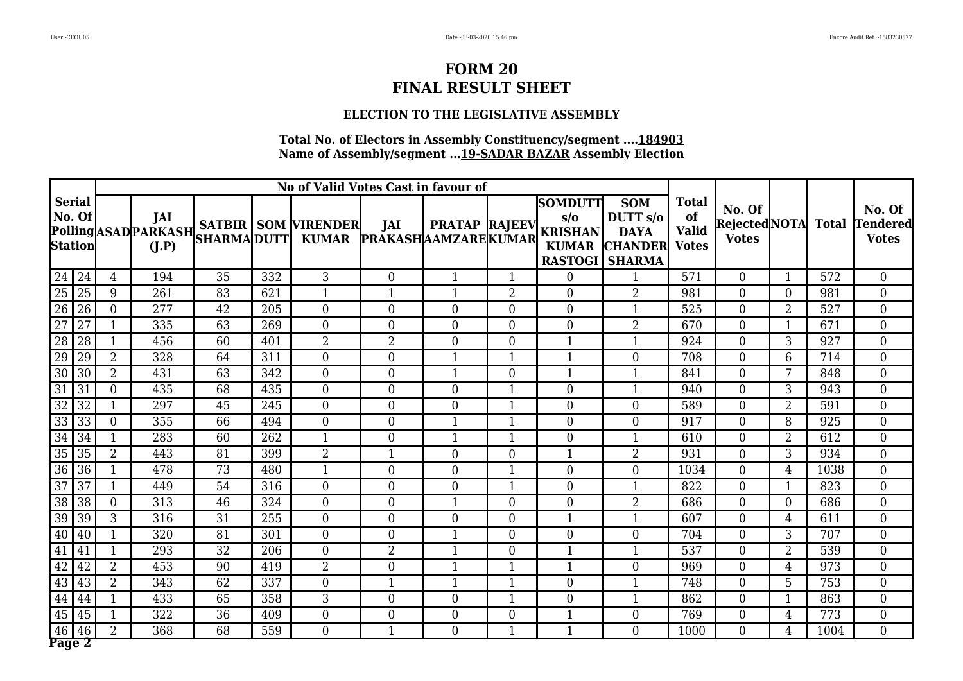#### **ELECTION TO THE LEGISLATIVE ASSEMBLY**

|                                    |                |              |    |     | No of Valid Votes Cast in favour of             |                                   |                      |                |                                                                                           |                                                                    |                                                    |                                              |                |      |                                           |
|------------------------------------|----------------|--------------|----|-----|-------------------------------------------------|-----------------------------------|----------------------|----------------|-------------------------------------------------------------------------------------------|--------------------------------------------------------------------|----------------------------------------------------|----------------------------------------------|----------------|------|-------------------------------------------|
| <b>Serial</b><br>No. Of<br>Station |                | JAI<br>(I.P) |    |     | <b>Polling</b> ASAD PARKASH SATBIR SOM VIRENDER | JAI<br><b>PRAKASHAAMZAREKUMAR</b> | <b>PRATAP RAJEEV</b> |                | <b>SOMDUTT</b><br>$s/\sigma$<br><b>KRISHAN</b><br><b>KUMAR</b><br><b>RASTOGI   SHARMA</b> | <b>SOM</b><br>DUTT <sub>s/o</sub><br><b>DAYA</b><br><b>CHANDER</b> | <b>Total</b><br>of<br><b>Valid</b><br><b>Votes</b> | No. Of<br>RejectedNOTA Total<br><b>Votes</b> |                |      | No. Of<br><b>Tendered</b><br><b>Votes</b> |
| $24\overline{24}$                  | $\overline{4}$ | 194          | 35 | 332 | 3                                               | $\overline{0}$                    | 1                    | $\mathbf{1}$   | $\boldsymbol{0}$                                                                          | $\mathbf{1}$                                                       | 571                                                | $\overline{0}$                               | $\mathbf 1$    | 572  | $\overline{0}$                            |
| 25<br>25                           | 9              | 261          | 83 | 621 | $\mathbf{1}$                                    | $\mathbf{1}$                      | 1                    | $\overline{2}$ | $\overline{0}$                                                                            | $\overline{2}$                                                     | 981                                                | $\overline{0}$                               | $\overline{0}$ | 981  | $\overline{0}$                            |
| $\overline{26}$<br>26              | $\overline{0}$ | 277          | 42 | 205 | $\overline{0}$                                  | $\overline{0}$                    | $\overline{0}$       | $\overline{0}$ | $\overline{0}$                                                                            | $\mathbf{1}$                                                       | 525                                                | $\overline{0}$                               | $\overline{2}$ | 527  | $\overline{0}$                            |
| 27<br>27                           |                | 335          | 63 | 269 | $\theta$                                        | $\theta$                          | $\overline{0}$       | $\overline{0}$ | $\overline{0}$                                                                            | $\overline{2}$                                                     | 670                                                | $\overline{0}$                               | 1              | 671  | $\overline{0}$                            |
| $\overline{28}$<br>28              |                | 456          | 60 | 401 | $\overline{2}$                                  | $\overline{2}$                    | $\overline{0}$       | $\overline{0}$ | $\mathbf{1}$                                                                              | $\mathbf{1}$                                                       | 924                                                | $\overline{0}$                               | 3              | 927  | $\overline{0}$                            |
| 29<br>29                           | $\overline{2}$ | 328          | 64 | 311 | $\theta$                                        | $\theta$                          | 1                    | $\overline{1}$ | $\overline{1}$                                                                            | $\theta$                                                           | 708                                                | $\overline{0}$                               | 6              | 714  | $\overline{0}$                            |
| $\overline{30}$<br>30              | $\overline{2}$ | 431          | 63 | 342 | $\theta$                                        | $\theta$                          | 1                    | 0              | 1                                                                                         | 1                                                                  | 841                                                | $\theta$                                     |                | 848  | $\overline{0}$                            |
| $\overline{31}$<br>31              | $\Omega$       | 435          | 68 | 435 | $\overline{0}$                                  | $\overline{0}$                    | $\overline{0}$       | $\mathbf{1}$   | $\overline{0}$                                                                            | $\mathbf{1}$                                                       | 940                                                | $\overline{0}$                               | 3              | 943  | $\overline{0}$                            |
| $\overline{32}$<br>32              |                | 297          | 45 | 245 | $\overline{0}$                                  | $\theta$                          | $\overline{0}$       | $\overline{1}$ | $\overline{0}$                                                                            | $\overline{0}$                                                     | 589                                                | $\overline{0}$                               | $\overline{2}$ | 591  | $\overline{0}$                            |
| 33<br>$\overline{33}$              | $\Omega$       | 355          | 66 | 494 | $\theta$                                        | $\theta$                          | 1                    | 1              | 0                                                                                         | $\theta$                                                           | 917                                                | $\overline{0}$                               | 8              | 925  | $\overline{0}$                            |
| 34<br>34                           |                | 283          | 60 | 262 | $\mathbf{1}$                                    | $\theta$                          |                      | 1              | 0                                                                                         | $\mathbf 1$                                                        | 610                                                | $\overline{0}$                               | 2              | 612  | $\overline{0}$                            |
| 35<br>35                           | $\overline{2}$ | 443          | 81 | 399 | $\overline{2}$                                  | $\mathbf{1}$                      | $\overline{0}$       | $\overline{0}$ | 1                                                                                         | $\overline{2}$                                                     | 931                                                | $\overline{0}$                               | 3              | 934  | $\overline{0}$                            |
| 36<br>36                           |                | 478          | 73 | 480 | 1                                               | $\overline{0}$                    | $\overline{0}$       | 1              | $\overline{0}$                                                                            | $\overline{0}$                                                     | 1034                                               | $\overline{0}$                               | $\overline{4}$ | 1038 | $\overline{0}$                            |
| $\overline{37}$<br>$\overline{37}$ |                | 449          | 54 | 316 | $\boldsymbol{0}$                                | $\overline{0}$                    | $\overline{0}$       | 1              | $\overline{0}$                                                                            | 1                                                                  | 822                                                | $\overline{0}$                               | -1             | 823  | $\overline{0}$                            |
| 38<br>38                           | $\overline{0}$ | 313          | 46 | 324 | $\overline{0}$                                  | $\overline{0}$                    | 1                    | $\overline{0}$ | $\overline{0}$                                                                            | $\overline{2}$                                                     | 686                                                | $\overline{0}$                               | $\overline{0}$ | 686  | $\overline{0}$                            |
| 39<br>39                           | 3              | 316          | 31 | 255 | $\overline{0}$                                  | $\overline{0}$                    | $\overline{0}$       | $\overline{0}$ | $\mathbf{1}$                                                                              | $\mathbf{1}$                                                       | 607                                                | $\overline{0}$                               | $\overline{4}$ | 611  | $\overline{0}$                            |
| 40<br>40                           |                | 320          | 81 | 301 | $\theta$                                        | $\theta$                          | $\mathbf{1}$         | $\overline{0}$ | $\overline{0}$                                                                            | $\theta$                                                           | 704                                                | $\overline{0}$                               | 3              | 707  | $\overline{0}$                            |
| 41<br>41                           |                | 293          | 32 | 206 | $\theta$                                        | $\overline{2}$                    | 1                    | 0              | $\mathbf{1}$                                                                              | $\mathbf{1}$                                                       | 537                                                | $\overline{0}$                               | $\overline{2}$ | 539  | $\overline{0}$                            |
| 42<br>42                           | $\overline{2}$ | 453          | 90 | 419 | $\overline{2}$                                  | $\theta$                          | 1                    | $\mathbf{1}$   | $\mathbf{1}$                                                                              | $\overline{0}$                                                     | 969                                                | $\overline{0}$                               | 4              | 973  | $\overline{0}$                            |
| 43<br>43                           | $\overline{2}$ | 343          | 62 | 337 | $\overline{0}$                                  | $\mathbf{1}$                      | 1                    | 1              | $\overline{0}$                                                                            | 1                                                                  | 748                                                | $\overline{0}$                               | 5              | 753  | $\overline{0}$                            |
| 44<br>44                           |                | 433          | 65 | 358 | 3                                               | $\theta$                          | $\overline{0}$       |                | 0                                                                                         | $\mathbf{1}$                                                       | 862                                                | $\overline{0}$                               | $\mathbf 1$    | 863  | $\overline{0}$                            |
| 45<br>45                           |                | 322          | 36 | 409 | $\boldsymbol{0}$                                | $\overline{0}$                    | $\overline{0}$       | 0              |                                                                                           | $\mathbf{0}$                                                       | 769                                                | $\overline{0}$                               | 4              | 773  | $\overline{0}$                            |
| 46<br>46<br>Page 2                 | $\overline{2}$ | 368          | 68 | 559 | $\theta$                                        | $\mathbf{1}$                      | $\overline{0}$       | $\mathbf{1}$   | 1                                                                                         | $\theta$                                                           | 1000                                               | $\overline{0}$                               | $\overline{4}$ | 1004 | $\overline{0}$                            |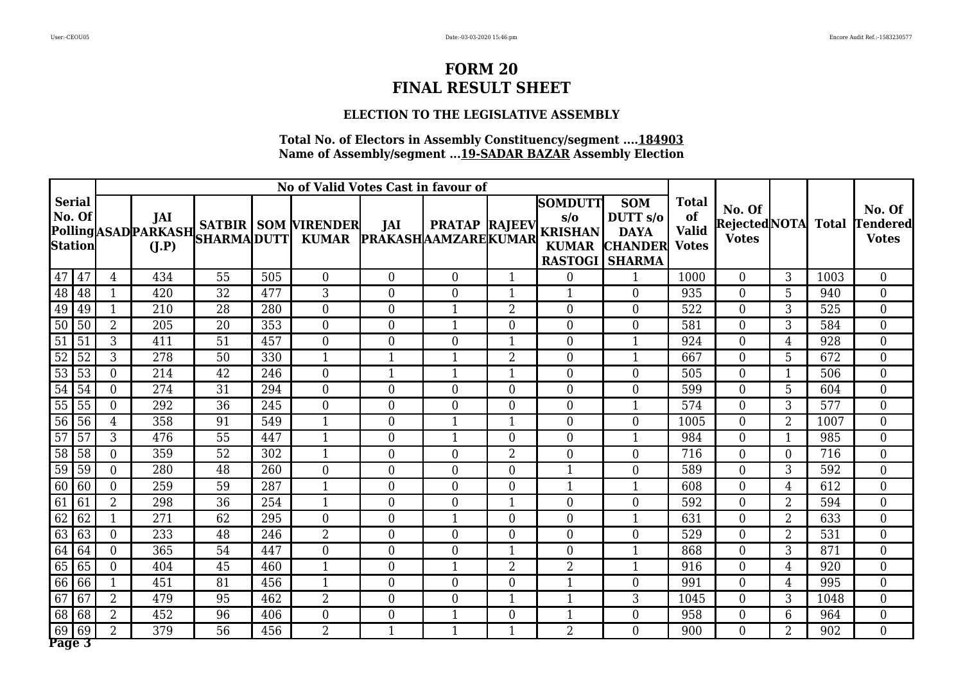#### **ELECTION TO THE LEGISLATIVE ASSEMBLY**

|                 |                                           |                |              |    | No of Valid Votes Cast in favour of |                                                 |                                  |                      |                |                                                                                           |                                                                    |                                                    |                                              |                |      |                                           |
|-----------------|-------------------------------------------|----------------|--------------|----|-------------------------------------|-------------------------------------------------|----------------------------------|----------------------|----------------|-------------------------------------------------------------------------------------------|--------------------------------------------------------------------|----------------------------------------------------|----------------------------------------------|----------------|------|-------------------------------------------|
|                 | <b>Serial</b><br>No. Of<br><b>Station</b> |                | JAI<br>(I.P) |    |                                     | <b>Polling</b> ASAD PARKASH SATBIR SOM VIRENDER | JAI<br>KUMAR PRAKASHAAMZAREKUMAR | <b>PRATAP RAJEEV</b> |                | <b>SOMDUTT</b><br>$s/\sigma$<br><b>KRISHAN</b><br><b>KUMAR</b><br><b>RASTOGI   SHARMA</b> | <b>SOM</b><br>DUTT <sub>s/o</sub><br><b>DAYA</b><br><b>CHANDER</b> | <b>Total</b><br>of<br><b>Valid</b><br><b>Votes</b> | No. Of<br>RejectedNOTA Total<br><b>Votes</b> |                |      | No. Of<br><b>Tendered</b><br><b>Votes</b> |
| 47              | 47                                        | $\overline{4}$ | 434          | 55 | 505                                 | $\overline{0}$                                  | $\overline{0}$                   | $\overline{0}$       | $\mathbf{1}$   | $\boldsymbol{0}$                                                                          | $\mathbf{1}$                                                       | 1000                                               | $\overline{0}$                               | 3              | 1003 | $\overline{0}$                            |
| 48              | 48                                        |                | 420          | 32 | 477                                 | 3                                               | $\boldsymbol{0}$                 | $\overline{0}$       | $\mathbf{1}$   | $\mathbf{1}$                                                                              | $\overline{0}$                                                     | 935                                                | $\overline{0}$                               | 5              | 940  | $\overline{0}$                            |
| 49              | 49                                        |                | 210          | 28 | 280                                 | $\overline{0}$                                  | $\overline{0}$                   | $\mathbf{1}$         | $\overline{2}$ | $\overline{0}$                                                                            | $\overline{0}$                                                     | 522                                                | $\overline{0}$                               | 3              | 525  | $\overline{0}$                            |
| $\overline{50}$ | 50                                        | $\overline{2}$ | 205          | 20 | 353                                 | $\overline{0}$                                  | $\overline{0}$                   | $\mathbf{1}$         | $\overline{0}$ | $\overline{0}$                                                                            | $\overline{0}$                                                     | 581                                                | $\overline{0}$                               | $\overline{3}$ | 584  | $\overline{0}$                            |
| $\overline{51}$ | 51                                        | 3              | 411          | 51 | 457                                 | $\overline{0}$                                  | $\overline{0}$                   | $\boldsymbol{0}$     | $\mathbf{1}$   | $\overline{0}$                                                                            | $\mathbf{1}$                                                       | 924                                                | $\overline{0}$                               | 4              | 928  | $\overline{0}$                            |
| 52              | 52                                        | 3              | 278          | 50 | 330                                 | $\mathbf{1}$                                    | $\mathbf{1}$                     | $\mathbf{1}$         | $\overline{2}$ | $\overline{0}$                                                                            | $\mathbf{1}$                                                       | 667                                                | $\theta$                                     | $5\phantom{.}$ | 672  | $\overline{0}$                            |
| $\overline{53}$ | 53                                        | $\Omega$       | 214          | 42 | 246                                 | $\theta$                                        | $\mathbf{1}$                     | 1                    | 1              | 0                                                                                         | $\theta$                                                           | 505                                                | $\overline{0}$                               |                | 506  | $\overline{0}$                            |
| 54              | 54                                        | $\theta$       | 274          | 31 | 294                                 | $\theta$                                        | $\overline{0}$                   | $\overline{0}$       | $\overline{0}$ | $\overline{0}$                                                                            | $\overline{0}$                                                     | 599                                                | $\overline{0}$                               | 5              | 604  | $\overline{0}$                            |
| 55              | 55                                        | $\theta$       | 292          | 36 | 245                                 | $\theta$                                        | $\overline{0}$                   | $\overline{0}$       | $\overline{0}$ | $\overline{0}$                                                                            | $\mathbf{1}$                                                       | 574                                                | $\overline{0}$                               | 3              | 577  | $\overline{0}$                            |
| $\overline{56}$ | $\overline{56}$                           | 4              | 358          | 91 | 549                                 | $\mathbf{1}$                                    | $\theta$                         | $\mathbf{1}$         | 1              | 0                                                                                         | $\theta$                                                           | 1005                                               | $\overline{0}$                               | $\overline{2}$ | 1007 | $\overline{0}$                            |
| $\overline{57}$ | 57                                        | 3              | 476          | 55 | 447                                 | 1                                               | $\overline{0}$                   | $\mathbf{1}$         | $\overline{0}$ | $\overline{0}$                                                                            | $\mathbf 1$                                                        | 984                                                | $\overline{0}$                               | -1             | 985  | $\overline{0}$                            |
| 58              | $\overline{58}$                           | $\overline{0}$ | 359          | 52 | 302                                 | $\mathbf{1}$                                    | $\overline{0}$                   | $\overline{0}$       | $\overline{2}$ | $\overline{0}$                                                                            | $\overline{0}$                                                     | 716                                                | $\overline{0}$                               | $\theta$       | 716  | $\overline{0}$                            |
| 59              | 59                                        | $\theta$       | 280          | 48 | 260                                 | $\overline{0}$                                  | $\overline{0}$                   | $\overline{0}$       | $\overline{0}$ | 1                                                                                         | $\overline{0}$                                                     | 589                                                | $\overline{0}$                               | 3              | 592  | $\overline{0}$                            |
| 60              | 60                                        | $\overline{0}$ | 259          | 59 | 287                                 | $\mathbf{1}$                                    | $\boldsymbol{0}$                 | $\overline{0}$       | $\overline{0}$ | -1                                                                                        | 1                                                                  | 608                                                | $\overline{0}$                               | 4              | 612  | $\overline{0}$                            |
| 61              | 61                                        | $\overline{2}$ | 298          | 36 | 254                                 | $\mathbf{1}$                                    | $\overline{0}$                   | $\overline{0}$       | $\mathbf{1}$   | $\overline{0}$                                                                            | $\boldsymbol{0}$                                                   | 592                                                | $\overline{0}$                               | $\overline{2}$ | 594  | $\overline{0}$                            |
| 62              | $\overline{62}$                           |                | 271          | 62 | 295                                 | $\overline{0}$                                  | $\overline{0}$                   | $\mathbf{1}$         | $\overline{0}$ | $\overline{0}$                                                                            | $\mathbf{1}$                                                       | 631                                                | $\overline{0}$                               | $\overline{2}$ | 633  | $\overline{0}$                            |
| 63              | 63                                        | $\theta$       | 233          | 48 | 246                                 | $\overline{2}$                                  | $\theta$                         | $\overline{0}$       | $\overline{0}$ | $\overline{0}$                                                                            | $\theta$                                                           | 529                                                | $\overline{0}$                               | $\overline{2}$ | 531  | $\overline{0}$                            |
| 64              | 64                                        | $\Omega$       | 365          | 54 | 447                                 | $\theta$                                        | $\theta$                         | $\overline{0}$       | $\mathbf{1}$   | 0                                                                                         | $\mathbf{1}$                                                       | 868                                                | $\overline{0}$                               | 3              | 871  | $\overline{0}$                            |
| 65              | 65                                        | $\theta$       | 404          | 45 | 460                                 | $\mathbf{1}$                                    | $\overline{0}$                   | $\mathbf{1}$         | $\overline{2}$ | $\overline{2}$                                                                            | $\mathbf{1}$                                                       | 916                                                | $\overline{0}$                               | 4              | 920  | $\overline{0}$                            |
| 66              | 66                                        |                | 451          | 81 | 456                                 | $\mathbf{1}$                                    | $\overline{0}$                   | $\overline{0}$       | 0              | $\mathbf{1}$                                                                              | $\overline{0}$                                                     | 991                                                | $\overline{0}$                               | 4              | 995  | $\overline{0}$                            |
| 67              | 67                                        | $\overline{2}$ | 479          | 95 | 462                                 | $\overline{2}$                                  | $\theta$                         | $\overline{0}$       | $\mathbf{1}$   |                                                                                           | 3                                                                  | 1045                                               | $\Omega$                                     | 3              | 1048 | $\overline{0}$                            |
| 68              | 68                                        | $\overline{2}$ | 452          | 96 | 406                                 | $\overline{0}$                                  | $\boldsymbol{0}$                 |                      | 0              |                                                                                           | $\mathbf{0}$                                                       | 958                                                | $\overline{0}$                               | 6              | 964  | $\overline{0}$                            |
| 69              | 69                                        | $\overline{2}$ | 379          | 56 | 456                                 | $\overline{2}$                                  | $\mathbf{1}$                     | $\mathbf{1}$         | $\mathbf{1}$   | $\overline{2}$                                                                            | $\theta$                                                           | 900                                                | $\overline{0}$                               | $\overline{2}$ | 902  | $\overline{0}$                            |
| Page 3          |                                           |                |              |    |                                     |                                                 |                                  |                      |                |                                                                                           |                                                                    |                                                    |                                              |                |      |                                           |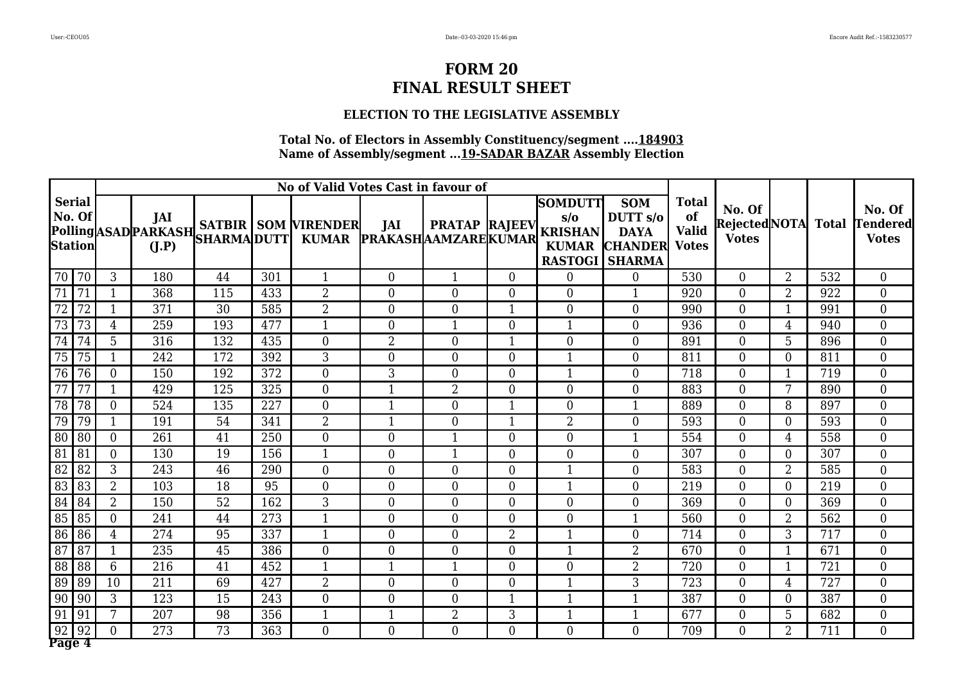#### **ELECTION TO THE LEGISLATIVE ASSEMBLY**

|                                           |                 | No of Valid Votes Cast in favour of<br><b>SOMDUTT</b> |              |     |     |                                                 |                                  |                      |                |                                                                         |                                                                    |                                                    |                                              |                |     |                                           |
|-------------------------------------------|-----------------|-------------------------------------------------------|--------------|-----|-----|-------------------------------------------------|----------------------------------|----------------------|----------------|-------------------------------------------------------------------------|--------------------------------------------------------------------|----------------------------------------------------|----------------------------------------------|----------------|-----|-------------------------------------------|
| <b>Serial</b><br>No. Of<br><b>Station</b> |                 |                                                       | JAI<br>(I.P) |     |     | <b>Polling</b> ASAD PARKASH SATBIR SOM VIRENDER | JAI<br>KUMAR PRAKASHAAMZAREKUMAR | <b>PRATAP RAJEEV</b> |                | $s/\sigma$<br><b>KRISHAN</b><br><b>KUMAR</b><br><b>RASTOGI   SHARMA</b> | <b>SOM</b><br>DUTT <sub>s/o</sub><br><b>DAYA</b><br><b>CHANDER</b> | <b>Total</b><br>of<br><b>Valid</b><br><b>Votes</b> | No. Of<br>RejectedNOTA Total<br><b>Votes</b> |                |     | No. Of<br><b>Tendered</b><br><b>Votes</b> |
| $\overline{70}$ 70                        |                 | 3                                                     | 180          | 44  | 301 | $\mathbf{1}$                                    | $\overline{0}$                   | $\mathbf{1}$         | $\overline{0}$ | $\boldsymbol{0}$                                                        | $\overline{0}$                                                     | 530                                                | $\overline{0}$                               | 2              | 532 | $\overline{0}$                            |
| 71                                        | 71              |                                                       | 368          | 115 | 433 | $\overline{2}$                                  | $\boldsymbol{0}$                 | $\overline{0}$       | $\overline{0}$ | $\overline{0}$                                                          | $\mathbf{1}$                                                       | 920                                                | $\overline{0}$                               | $\overline{2}$ | 922 | $\overline{0}$                            |
| $\overline{72}$                           | $\overline{72}$ |                                                       | 371          | 30  | 585 | $\overline{2}$                                  | $\overline{0}$                   | $\overline{0}$       | $\mathbf{1}$   | $\overline{0}$                                                          | $\overline{0}$                                                     | 990                                                | $\overline{0}$                               | $\mathbf{1}$   | 991 | $\overline{0}$                            |
| 73                                        | 73              | $\overline{4}$                                        | 259          | 193 | 477 | $\mathbf{1}$                                    | $\overline{0}$                   | $\mathbf{1}$         | $\overline{0}$ | $\mathbf{1}$                                                            | $\overline{0}$                                                     | 936                                                | $\overline{0}$                               | $\overline{4}$ | 940 | $\overline{0}$                            |
| 74                                        | 74              | 5                                                     | 316          | 132 | 435 | $\overline{0}$                                  | $\overline{2}$                   | $\boldsymbol{0}$     | $\mathbf{1}$   | $\overline{0}$                                                          | $\overline{0}$                                                     | 891                                                | $\overline{0}$                               | 5              | 896 | $\overline{0}$                            |
| 75                                        | 75              | $\mathbf{1}$                                          | 242          | 172 | 392 | 3                                               | $\theta$                         | $\Omega$             | $\Omega$       | $\overline{1}$                                                          | $\theta$                                                           | 811                                                | $\theta$                                     | $\Omega$       | 811 | $\overline{0}$                            |
| 76                                        | 76              | $\Omega$                                              | 150          | 192 | 372 | $\theta$                                        | 3                                | $\overline{0}$       | $\overline{0}$ | 1                                                                       | $\theta$                                                           | 718                                                | $\overline{0}$                               |                | 719 | $\overline{0}$                            |
| 77                                        | 77              |                                                       | 429          | 125 | 325 | $\theta$                                        | $\mathbf{1}$                     | $\overline{2}$       | $\overline{0}$ | $\overline{0}$                                                          | $\overline{0}$                                                     | 883                                                | $\overline{0}$                               | 7              | 890 | $\overline{0}$                            |
| 78                                        | 78              | $\Omega$                                              | 524          | 135 | 227 | $\theta$                                        | $\mathbf{1}$                     | $\overline{0}$       | 1              | $\overline{0}$                                                          | $\mathbf{1}$                                                       | 889                                                | $\overline{0}$                               | 8              | 897 | $\overline{0}$                            |
| 79                                        | 79              |                                                       | 191          | 54  | 341 | $\overline{2}$                                  | $\mathbf{1}$                     | $\overline{0}$       | $\mathbf{1}$   | $\overline{2}$                                                          | $\theta$                                                           | 593                                                | $\overline{0}$                               | $\theta$       | 593 | $\overline{0}$                            |
| $\overline{80}$                           | 80              | $\Omega$                                              | 261          | 41  | 250 | $\overline{0}$                                  | $\overline{0}$                   | $\mathbf{1}$         | $\overline{0}$ | $\overline{0}$                                                          | $\mathbf 1$                                                        | 554                                                | $\overline{0}$                               | 4              | 558 | $\overline{0}$                            |
| 81                                        | 81              | $\overline{0}$                                        | 130          | 19  | 156 | $\mathbf{1}$                                    | $\overline{0}$                   | 1                    | $\overline{0}$ | $\overline{0}$                                                          | $\overline{0}$                                                     | 307                                                | $\overline{0}$                               | $\theta$       | 307 | $\overline{0}$                            |
| 82                                        | 82              | 3                                                     | 243          | 46  | 290 | $\overline{0}$                                  | $\overline{0}$                   | $\overline{0}$       | $\overline{0}$ | 1                                                                       | $\overline{0}$                                                     | 583                                                | $\overline{0}$                               | $\overline{2}$ | 585 | $\overline{0}$                            |
| 83                                        | 83              | $\overline{2}$                                        | 103          | 18  | 95  | $\overline{0}$                                  | $\boldsymbol{0}$                 | $\overline{0}$       | $\overline{0}$ | -1                                                                      | $\overline{0}$                                                     | 219                                                | $\overline{0}$                               | $\Omega$       | 219 | $\overline{0}$                            |
| 84                                        | 84              | $\overline{2}$                                        | 150          | 52  | 162 | 3                                               | $\overline{0}$                   | $\overline{0}$       | $\overline{0}$ | $\overline{0}$                                                          | $\boldsymbol{0}$                                                   | 369                                                | $\overline{0}$                               | $\overline{0}$ | 369 | $\overline{0}$                            |
| 85                                        | 85              | $\overline{0}$                                        | 241          | 44  | 273 | $\mathbf{1}$                                    | $\overline{0}$                   | $\overline{0}$       | $\overline{0}$ | $\overline{0}$                                                          | $\mathbf{1}$                                                       | 560                                                | $\overline{0}$                               | 2              | 562 | $\overline{0}$                            |
| 86                                        | 86              | 4                                                     | 274          | 95  | 337 | $\mathbf{1}$                                    | $\theta$                         | $\overline{0}$       | $\overline{2}$ | $\mathbf{1}$                                                            | $\theta$                                                           | 714                                                | $\overline{0}$                               | 3              | 717 | $\overline{0}$                            |
| 87                                        | 87              |                                                       | 235          | 45  | 386 | $\theta$                                        | $\theta$                         | $\overline{0}$       | $\overline{0}$ | $\mathbf{1}$                                                            | $\overline{2}$                                                     | 670                                                | $\overline{0}$                               | $\mathbf 1$    | 671 | $\overline{0}$                            |
| 88                                        | 88              | 6                                                     | 216          | 41  | 452 | $\mathbf{1}$                                    | $\mathbf{1}$                     | $\mathbf{1}$         | $\overline{0}$ | 0                                                                       | $\overline{2}$                                                     | 720                                                | $\overline{0}$                               | 1              | 721 | $\overline{0}$                            |
| 89                                        | 89              | 10                                                    | 211          | 69  | 427 | $\overline{2}$                                  | $\overline{0}$                   | $\overline{0}$       | 0              | -1                                                                      | 3                                                                  | 723                                                | $\overline{0}$                               | 4              | 727 | $\overline{0}$                            |
| 90                                        | 90              | 3                                                     | 123          | 15  | 243 | $\theta$                                        | $\theta$                         | $\overline{0}$       | $\mathbf{1}$   |                                                                         | $\mathbf{1}$                                                       | 387                                                | $\overline{0}$                               | $\theta$       | 387 | $\overline{0}$                            |
| 91                                        | 91              | 7                                                     | 207          | 98  | 356 |                                                 | -1                               | $\overline{2}$       | 3              |                                                                         | $\mathbf 1$                                                        | 677                                                | $\overline{0}$                               | 5              | 682 | $\overline{0}$                            |
| 92                                        | 92              | $\theta$                                              | 273          | 73  | 363 | $\theta$                                        | $\theta$                         | $\overline{0}$       | $\Omega$       | 0                                                                       | $\theta$                                                           | 709                                                | $\overline{0}$                               | $\overline{2}$ | 711 | $\overline{0}$                            |
| Page 4                                    |                 |                                                       |              |     |     |                                                 |                                  |                      |                |                                                                         |                                                                    |                                                    |                                              |                |     |                                           |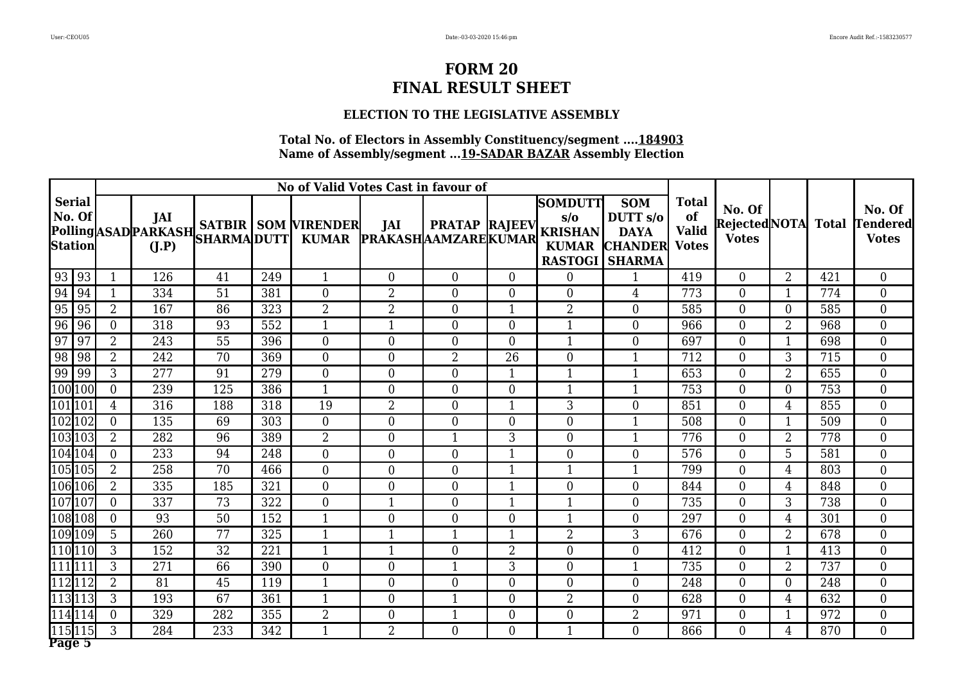#### **ELECTION TO THE LEGISLATIVE ASSEMBLY**

|                                    | No of Valid Votes Cast in favour of |              |     |     |                                                 |                                   |                      |                  |                                                                                    |                                                                    |                                                    |                                              |                |     |                                           |
|------------------------------------|-------------------------------------|--------------|-----|-----|-------------------------------------------------|-----------------------------------|----------------------|------------------|------------------------------------------------------------------------------------|--------------------------------------------------------------------|----------------------------------------------------|----------------------------------------------|----------------|-----|-------------------------------------------|
| <b>Serial</b><br>No. Of<br>Station |                                     | JAI<br>(I.P) |     |     | <b>Polling</b> ASAD PARKASH SATBIR SOM VIRENDER | JAI<br><b>PRAKASHAAMZAREKUMAR</b> | <b>PRATAP RAJEEV</b> |                  | <b>SOMDUTT</b><br>s/o<br><b>KRISHAN</b><br><b>KUMAR</b><br><b>RASTOGI   SHARMA</b> | <b>SOM</b><br>DUTT <sub>s/o</sub><br><b>DAYA</b><br><b>CHANDER</b> | <b>Total</b><br>of<br><b>Valid</b><br><b>Votes</b> | No. Of<br>RejectedNOTA Total<br><b>Votes</b> |                |     | No. Of<br><b>Tendered</b><br><b>Votes</b> |
| 93   93                            |                                     | 126          | 41  | 249 | $\mathbf{1}$                                    | $\theta$                          | $\overline{0}$       | $\overline{0}$   | $\overline{0}$                                                                     | $\mathbf 1$                                                        | 419                                                | $\overline{0}$                               | 2              | 421 | $\overline{0}$                            |
| 94<br> 94                          |                                     | 334          | 51  | 381 | $\overline{0}$                                  | $\overline{2}$                    | $\overline{0}$       | $\overline{0}$   | $\overline{0}$                                                                     | $\overline{4}$                                                     | 773                                                | $\overline{0}$                               | 1              | 774 | $\overline{0}$                            |
| 95<br>95                           | $\overline{2}$                      | 167          | 86  | 323 | $\overline{2}$                                  | $\overline{2}$                    | $\overline{0}$       | $\mathbf{1}$     | $\overline{2}$                                                                     | $\overline{0}$                                                     | 585                                                | $\overline{0}$                               | $\overline{0}$ | 585 | $\overline{0}$                            |
| 96<br>96                           | $\Omega$                            | 318          | 93  | 552 | $\mathbf{1}$                                    | $\mathbf{1}$                      | $\overline{0}$       | $\overline{0}$   | $\mathbf{1}$                                                                       | $\overline{0}$                                                     | 966                                                | $\overline{0}$                               | $\overline{2}$ | 968 | $\overline{0}$                            |
| 97<br>97                           | $\overline{2}$                      | 243          | 55  | 396 | $\overline{0}$                                  | $\theta$                          | $\overline{0}$       | $\overline{0}$   | 1                                                                                  | $\overline{0}$                                                     | 697                                                | $\overline{0}$                               | $\mathbf 1$    | 698 | $\overline{0}$                            |
| 98<br>98                           | $\overline{2}$                      | 242          | 70  | 369 | $\overline{0}$                                  | $\theta$                          | $\overline{2}$       | 26               | $\theta$                                                                           | $\mathbf{1}$                                                       | 712                                                | $\Omega$                                     | 3              | 715 | $\overline{0}$                            |
| 99<br>99                           | 3                                   | 277          | 91  | 279 | $\theta$                                        | $\theta$                          | $\theta$             |                  | $\mathbf{1}$                                                                       | $\mathbf 1$                                                        | 653                                                | $\Omega$                                     | $\overline{2}$ | 655 | $\overline{0}$                            |
| 100 100                            | $\theta$                            | 239          | 125 | 386 | $\mathbf{1}$                                    | $\theta$                          | $\theta$             | $\overline{0}$   | $\mathbf{1}$                                                                       | $\mathbf{1}$                                                       | 753                                                | $\Omega$                                     | $\Omega$       | 753 | $\overline{0}$                            |
| 101 101                            | 4                                   | 316          | 188 | 318 | 19                                              | $\overline{2}$                    | $\overline{0}$       | 1                | 3                                                                                  | $\overline{0}$                                                     | 851                                                | $\Omega$                                     | 4              | 855 | $\overline{0}$                            |
| 102 102                            | $\theta$                            | 135          | 69  | 303 | $\overline{0}$                                  | $\theta$                          | $\theta$             | $\theta$         | $\theta$                                                                           | $\mathbf{1}$                                                       | 508                                                | $\Omega$                                     | $\mathbf{1}$   | 509 | $\overline{0}$                            |
| 103103                             | 2                                   | 282          | 96  | 389 | $\overline{2}$                                  | $\theta$                          | 1                    | 3                | $\overline{0}$                                                                     | $\mathbf 1$                                                        | 776                                                | $\overline{0}$                               | $\overline{2}$ | 778 | $\overline{0}$                            |
| 104 104                            | $\theta$                            | 233          | 94  | 248 | $\overline{0}$                                  | $\overline{0}$                    | $\overline{0}$       |                  | $\overline{0}$                                                                     | $\boldsymbol{0}$                                                   | 576                                                | $\overline{0}$                               | 5              | 581 | $\overline{0}$                            |
| 105105                             | $\overline{2}$                      | 258          | 70  | 466 | $\overline{0}$                                  | $\overline{0}$                    | $\overline{0}$       |                  |                                                                                    | $\mathbf 1$                                                        | 799                                                | $\overline{0}$                               | 4              | 803 | $\overline{0}$                            |
| 106 106                            | $\overline{2}$                      | 335          | 185 | 321 | $\overline{0}$                                  | $\overline{0}$                    | $\overline{0}$       | 1                | $\overline{0}$                                                                     | $\boldsymbol{0}$                                                   | 844                                                | $\overline{0}$                               | 4              | 848 | $\overline{0}$                            |
| 107107                             | $\theta$                            | 337          | 73  | 322 | $\overline{0}$                                  | $\mathbf{1}$                      | $\overline{0}$       | $\mathbf{1}$     | 1                                                                                  | $\boldsymbol{0}$                                                   | 735                                                | $\overline{0}$                               | 3              | 738 | $\overline{0}$                            |
| 108108                             | $\theta$                            | 93           | 50  | 152 | $\mathbf{1}$                                    | $\overline{0}$                    | $\overline{0}$       | $\overline{0}$   | $\mathbf{1}$                                                                       | $\overline{0}$                                                     | 297                                                | $\overline{0}$                               | 4              | 301 | $\overline{0}$                            |
| 109 109                            | 5                                   | 260          | 77  | 325 | $\mathbf{1}$                                    | $\mathbf{1}$                      | $\mathbf{1}$         | $\mathbf{1}$     | $\overline{2}$                                                                     | 3                                                                  | 676                                                | $\overline{0}$                               | $\overline{2}$ | 678 | $\overline{0}$                            |
| $\overline{11}0$ $110$             | 3                                   | 152          | 32  | 221 | $\mathbf{1}$                                    | 1                                 | $\Omega$             | $\overline{2}$   | $\overline{0}$                                                                     | $\theta$                                                           | 412                                                | $\Omega$                                     | 1              | 413 | $\overline{0}$                            |
| 111111                             | 3                                   | 271          | 66  | 390 | $\overline{0}$                                  | $\theta$                          | 1                    | 3                | $\theta$                                                                           | $\mathbf{1}$                                                       | 735                                                | $\Omega$                                     | $\overline{2}$ | 737 | $\overline{0}$                            |
| 112112                             | $\overline{2}$                      | 81           | 45  | 119 | $\mathbf 1$                                     | $\Omega$                          | $\Omega$             | $\overline{0}$   | $\Omega$                                                                           | $\overline{0}$                                                     | 248                                                | $\Omega$                                     | 0              | 248 | $\overline{0}$                            |
| 113113                             | 3                                   | 193          | 67  | 361 |                                                 | $\theta$                          | $\mathbf 1$          | 0                | $\overline{2}$                                                                     | $\theta$                                                           | 628                                                | $\Omega$                                     | 4              | 632 | $\overline{0}$                            |
| 114114                             | $\Omega$                            | 329          | 282 | 355 | $\overline{2}$                                  | $\overline{0}$                    | 1                    | $\boldsymbol{0}$ | $\overline{0}$                                                                     | $\overline{2}$                                                     | 971                                                | $\overline{0}$                               | 1              | 972 | $\overline{0}$                            |
| 115 115                            | 3                                   | 284          | 233 | 342 | $\mathbf 1$                                     | $\overline{2}$                    | $\theta$             | $\overline{0}$   |                                                                                    | $\theta$                                                           | 866                                                | $\overline{0}$                               | 4              | 870 | $\overline{0}$                            |
| Page 5                             |                                     |              |     |     |                                                 |                                   |                      |                  |                                                                                    |                                                                    |                                                    |                                              |                |     |                                           |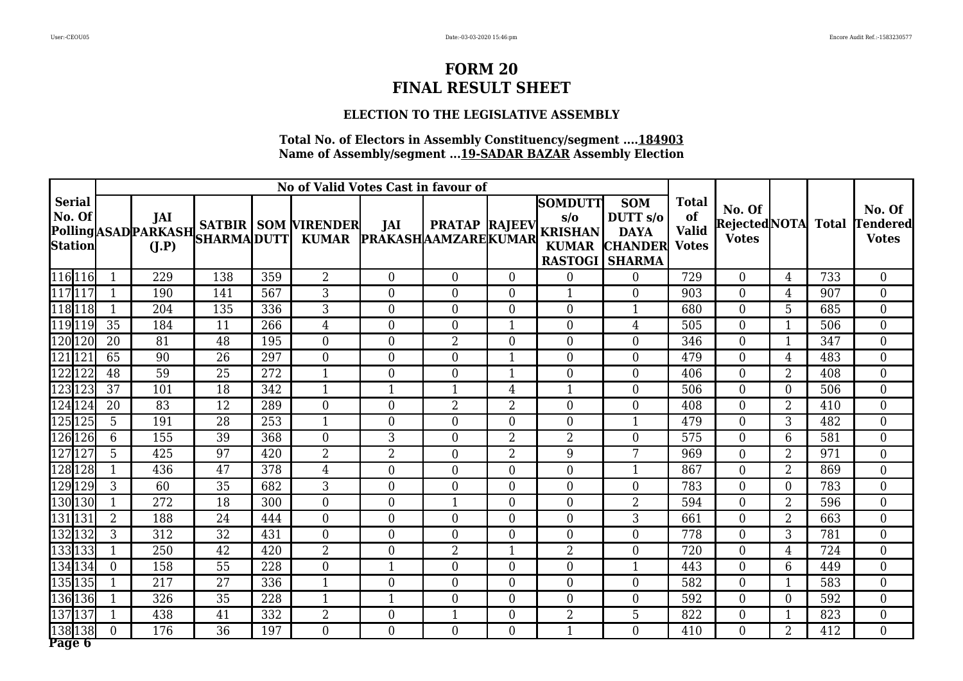### **ELECTION TO THE LEGISLATIVE ASSEMBLY**

|                                           | No of Valid Votes Cast in favour of<br><b>SOMDUTT</b> |              |                 |     |                                                 |                                  |                      |                |                                                                         |                                                                    |                                                    |                                              |                |     |                                           |
|-------------------------------------------|-------------------------------------------------------|--------------|-----------------|-----|-------------------------------------------------|----------------------------------|----------------------|----------------|-------------------------------------------------------------------------|--------------------------------------------------------------------|----------------------------------------------------|----------------------------------------------|----------------|-----|-------------------------------------------|
| <b>Serial</b><br>No. Of<br><b>Station</b> |                                                       | JAI<br>(I.P) |                 |     | <b>Polling</b> ASAD PARKASH SATBIR SOM VIRENDER | JAI<br>KUMAR PRAKASHAAMZAREKUMAR | <b>PRATAP RAJEEV</b> |                | $s/\sigma$<br><b>KRISHAN</b><br><b>KUMAR</b><br><b>RASTOGI   SHARMA</b> | <b>SOM</b><br>DUTT <sub>s/o</sub><br><b>DAYA</b><br><b>CHANDER</b> | <b>Total</b><br>of<br><b>Valid</b><br><b>Votes</b> | No. Of<br>RejectedNOTA Total<br><b>Votes</b> |                |     | No. Of<br><b>Tendered</b><br><b>Votes</b> |
| 116 116                                   |                                                       | 229          | 138             | 359 | $\overline{2}$                                  | $\overline{0}$                   | $\overline{0}$       | $\Omega$       | $\boldsymbol{0}$                                                        | $\boldsymbol{0}$                                                   | 729                                                | $\overline{0}$                               | 4              | 733 | $\overline{0}$                            |
| 117117                                    |                                                       | 190          | 141             | 567 | 3                                               | $\overline{0}$                   | $\overline{0}$       | $\overline{0}$ | $\mathbf{1}$                                                            | $\overline{0}$                                                     | 903                                                | $\overline{0}$                               | 4              | 907 | $\overline{0}$                            |
| $\sqrt{118}118$                           |                                                       | 204          | 135             | 336 | $\overline{3}$                                  | $\overline{0}$                   | $\overline{0}$       | $\overline{0}$ | $\overline{0}$                                                          | $\mathbf{1}$                                                       | 680                                                | $\overline{0}$                               | 5              | 685 | $\overline{0}$                            |
| 119119                                    | 35                                                    | 184          | 11              | 266 | $\overline{4}$                                  | $\overline{0}$                   | $\overline{0}$       | $\mathbf{1}$   | $\overline{0}$                                                          | $\overline{4}$                                                     | 505                                                | $\overline{0}$                               | $\mathbf{1}$   | 506 | $\overline{0}$                            |
| 120 120                                   | 20                                                    | 81           | 48              | 195 | $\overline{0}$                                  | $\overline{0}$                   | $\overline{2}$       | $\overline{0}$ | $\overline{0}$                                                          | $\overline{0}$                                                     | 346                                                | $\overline{0}$                               | 1              | 347 | $\overline{0}$                            |
| 121121                                    | 65                                                    | 90           | 26              | 297 | $\theta$                                        | $\theta$                         | $\overline{0}$       | $\mathbf{1}$   | $\overline{0}$                                                          | $\theta$                                                           | 479                                                | $\theta$                                     | 4              | 483 | $\overline{0}$                            |
| 122122                                    | 48                                                    | 59           | 25              | 272 | $\mathbf{1}$                                    | $\theta$                         | $\overline{0}$       | 1              | 0                                                                       | $\theta$                                                           | 406                                                | $\overline{0}$                               | $\overline{2}$ | 408 | $\overline{0}$                            |
| 123123                                    | 37                                                    | 101          | 18              | 342 | $\mathbf{1}$                                    | $\mathbf{1}$                     | $\mathbf{1}$         | 4              | $\mathbf{1}$                                                            | $\overline{0}$                                                     | 506                                                | $\overline{0}$                               | $\Omega$       | 506 | $\overline{0}$                            |
| 124124                                    | 20                                                    | 83           | 12              | 289 | $\theta$                                        | $\overline{0}$                   | $\overline{2}$       | $\overline{2}$ | $\overline{0}$                                                          | $\overline{0}$                                                     | 408                                                | $\overline{0}$                               | $\overline{2}$ | 410 | $\overline{0}$                            |
| 125125                                    | 5                                                     | 191          | $\overline{28}$ | 253 | $\mathbf{1}$                                    | $\theta$                         | $\overline{0}$       | $\overline{0}$ | 0                                                                       | $\mathbf{1}$                                                       | 479                                                | $\overline{0}$                               | 3              | 482 | $\overline{0}$                            |
| 126126                                    | 6                                                     | 155          | 39              | 368 | $\overline{0}$                                  | 3                                | $\overline{0}$       | 2              | $\overline{2}$                                                          | $\overline{0}$                                                     | 575                                                | $\overline{0}$                               | 6              | 581 | $\overline{0}$                            |
| 127127                                    | 5                                                     | 425          | 97              | 420 | $\overline{2}$                                  | $\overline{2}$                   | $\overline{0}$       | $\overline{2}$ | 9                                                                       | 7                                                                  | 969                                                | $\overline{0}$                               | $\overline{2}$ | 971 | $\overline{0}$                            |
| 128 128                                   |                                                       | 436          | 47              | 378 | $\overline{4}$                                  | $\overline{0}$                   | $\overline{0}$       | $\overline{0}$ | $\overline{0}$                                                          | 1                                                                  | 867                                                | $\overline{0}$                               | $\overline{2}$ | 869 | $\overline{0}$                            |
| 129129                                    | 3                                                     | 60           | 35              | 682 | 3                                               | $\boldsymbol{0}$                 | $\overline{0}$       | $\overline{0}$ | $\overline{0}$                                                          | $\overline{0}$                                                     | 783                                                | $\overline{0}$                               | $\Omega$       | 783 | $\overline{0}$                            |
| 130130                                    |                                                       | 272          | 18              | 300 | $\overline{0}$                                  | $\overline{0}$                   | $\mathbf{1}$         | $\overline{0}$ | $\overline{0}$                                                          | $\overline{2}$                                                     | 594                                                | $\overline{0}$                               | $\overline{2}$ | 596 | $\overline{0}$                            |
| 131131                                    | $\overline{2}$                                        | 188          | 24              | 444 | $\overline{0}$                                  | $\overline{0}$                   | $\overline{0}$       | $\overline{0}$ | $\overline{0}$                                                          | 3                                                                  | 661                                                | $\overline{0}$                               | $\overline{2}$ | 663 | $\overline{0}$                            |
| 132132                                    | 3                                                     | 312          | 32              | 431 | $\theta$                                        | $\theta$                         | $\overline{0}$       | $\Omega$       | $\overline{0}$                                                          | $\theta$                                                           | 778                                                | $\overline{0}$                               | 3              | 781 | $\overline{0}$                            |
| 133133                                    |                                                       | 250          | 42              | 420 | $\overline{2}$                                  | $\theta$                         | $\overline{2}$       | -1             | $\overline{2}$                                                          | $\theta$                                                           | 720                                                | $\overline{0}$                               | 4              | 724 | $\overline{0}$                            |
| 134134                                    | $\theta$                                              | 158          | 55              | 228 | $\theta$                                        | $\mathbf{1}$                     | $\overline{0}$       | $\overline{0}$ | $\overline{0}$                                                          | $\mathbf{1}$                                                       | 443                                                | $\overline{0}$                               | 6              | 449 | $\overline{0}$                            |
| 135135                                    |                                                       | 217          | 27              | 336 | $\mathbf{1}$                                    | $\overline{0}$                   | $\overline{0}$       | 0              | $\overline{0}$                                                          | $\overline{0}$                                                     | 582                                                | $\overline{0}$                               |                | 583 | $\overline{0}$                            |
| 136 136                                   |                                                       | 326          | 35              | 228 | $\mathbf{1}$                                    | $\mathbf{1}$                     | $\overline{0}$       | $\overline{0}$ | 0                                                                       | $\overline{0}$                                                     | 592                                                | $\Omega$                                     | $\theta$       | 592 | $\overline{0}$                            |
| 137137                                    |                                                       | 438          | 41              | 332 | $\overline{2}$                                  | $\overline{0}$                   | $\mathbf 1$          | 0              | 2                                                                       | 5                                                                  | 822                                                | $\overline{0}$                               |                | 823 | $\overline{0}$                            |
| 138138<br>Page 6                          | $\theta$                                              | 176          | 36              | 197 | $\overline{0}$                                  | $\theta$                         | $\overline{0}$       | $\Omega$       | 1                                                                       | $\theta$                                                           | 410                                                | $\overline{0}$                               | $\overline{2}$ | 412 | $\overline{0}$                            |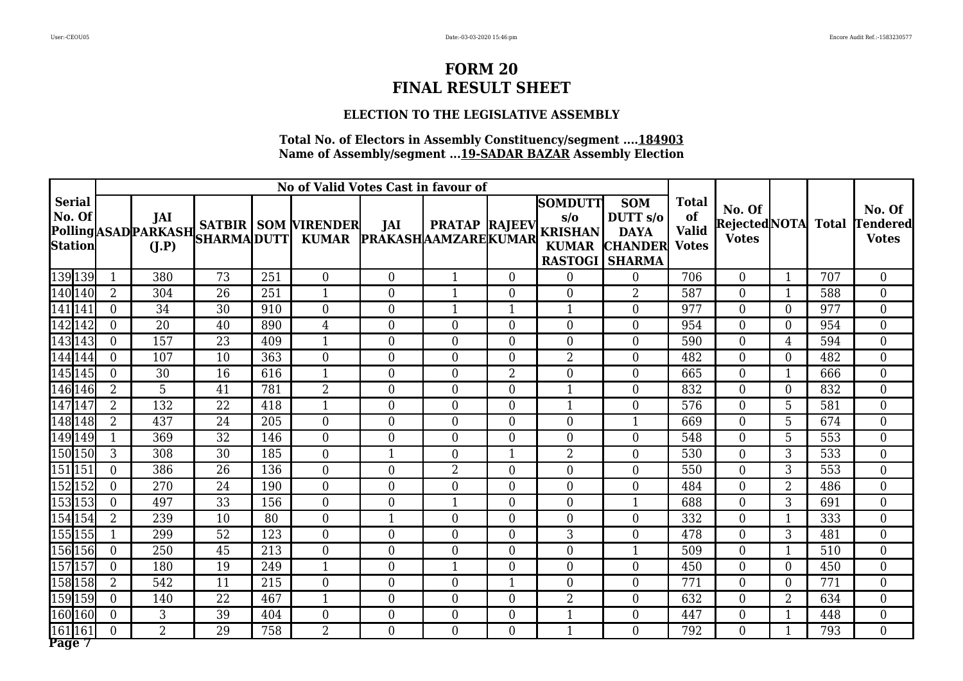#### **ELECTION TO THE LEGISLATIVE ASSEMBLY**

|                                           | No of Valid Votes Cast in favour of<br><b>SOMDUTT</b> |                |                 |     |                                                 |                                  |                      |                |                                                                         |                                                                    |                                                    |                                              |                |     |                                           |
|-------------------------------------------|-------------------------------------------------------|----------------|-----------------|-----|-------------------------------------------------|----------------------------------|----------------------|----------------|-------------------------------------------------------------------------|--------------------------------------------------------------------|----------------------------------------------------|----------------------------------------------|----------------|-----|-------------------------------------------|
| <b>Serial</b><br>No. Of<br><b>Station</b> |                                                       | JAI<br>(I.P)   |                 |     | <b>Polling</b> ASAD PARKASH SATBIR SOM VIRENDER | JAI<br>KUMAR PRAKASHAAMZAREKUMAR | <b>PRATAP RAJEEV</b> |                | $s/\sigma$<br><b>KRISHAN</b><br><b>KUMAR</b><br><b>RASTOGI   SHARMA</b> | <b>SOM</b><br>DUTT <sub>s/o</sub><br><b>DAYA</b><br><b>CHANDER</b> | <b>Total</b><br>of<br><b>Valid</b><br><b>Votes</b> | No. Of<br>RejectedNOTA Total<br><b>Votes</b> |                |     | No. Of<br><b>Tendered</b><br><b>Votes</b> |
| 139 139                                   |                                                       | 380            | $\overline{73}$ | 251 | $\overline{0}$                                  | $\overline{0}$                   | $\mathbf{1}$         | $\overline{0}$ | 0                                                                       | $\boldsymbol{0}$                                                   | 706                                                | $\overline{0}$                               | $\mathbf{1}$   | 707 | $\overline{0}$                            |
| 140 140                                   | $\overline{2}$                                        | 304            | 26              | 251 | $\mathbf{1}$                                    | $\boldsymbol{0}$                 | $\mathbf{1}$         | 0              | $\overline{0}$                                                          | $\overline{2}$                                                     | 587                                                | $\overline{0}$                               | $\mathbf{1}$   | 588 | $\overline{0}$                            |
| 141 141                                   | $\theta$                                              | 34             | 30              | 910 | $\overline{0}$                                  | $\overline{0}$                   | $\mathbf{1}$         | $\mathbf{1}$   | $\mathbf{1}$                                                            | $\overline{0}$                                                     | 977                                                | $\overline{0}$                               | $\overline{0}$ | 977 | $\overline{0}$                            |
| 142142                                    | $\theta$                                              | 20             | 40              | 890 | $\overline{4}$                                  | $\overline{0}$                   | $\overline{0}$       | $\overline{0}$ | $\overline{0}$                                                          | $\overline{0}$                                                     | 954                                                | $\overline{0}$                               | $\overline{0}$ | 954 | $\overline{0}$                            |
| 143 143                                   | $\Omega$                                              | 157            | 23              | 409 | $\mathbf{1}$                                    | $\overline{0}$                   | $\overline{0}$       | $\overline{0}$ | $\overline{0}$                                                          | $\overline{0}$                                                     | 590                                                | $\overline{0}$                               | 4              | 594 | $\overline{0}$                            |
| 144144                                    | $\Omega$                                              | 107            | 10              | 363 | $\theta$                                        | $\theta$                         | $\Omega$             | 0              | $\overline{2}$                                                          | $\theta$                                                           | 482                                                | $\theta$                                     | $\Omega$       | 482 | $\overline{0}$                            |
| 145145                                    | $\Omega$                                              | 30             | 16              | 616 | $\mathbf{1}$                                    | $\theta$                         | $\overline{0}$       | 2              | 0                                                                       | $\theta$                                                           | 665                                                | $\overline{0}$                               | -1             | 666 | $\overline{0}$                            |
| 146146                                    | $\overline{2}$                                        | 5              | 41              | 781 | $\overline{2}$                                  | $\overline{0}$                   | $\overline{0}$       | $\overline{0}$ | $\mathbf{1}$                                                            | $\overline{0}$                                                     | 832                                                | $\overline{0}$                               | $\theta$       | 832 | $\overline{0}$                            |
| 147147                                    | $\overline{2}$                                        | 132            | 22              | 418 | $\mathbf{1}$                                    | $\overline{0}$                   | $\overline{0}$       | $\overline{0}$ | $\mathbf{1}$                                                            | $\overline{0}$                                                     | 576                                                | $\overline{0}$                               | 5              | 581 | $\overline{0}$                            |
| 148148                                    | $\overline{2}$                                        | 437            | 24              | 205 | $\overline{0}$                                  | $\theta$                         | $\overline{0}$       | $\overline{0}$ | 0                                                                       | $\mathbf{1}$                                                       | 669                                                | $\overline{0}$                               | 5              | 674 | $\overline{0}$                            |
| 149149                                    |                                                       | 369            | 32              | 146 | $\overline{0}$                                  | $\overline{0}$                   | $\overline{0}$       | $\overline{0}$ | 0                                                                       | $\overline{0}$                                                     | 548                                                | $\overline{0}$                               | 5              | 553 | $\overline{0}$                            |
| 150150                                    | 3                                                     | 308            | 30              | 185 | $\overline{0}$                                  | $\mathbf{1}$                     | $\boldsymbol{0}$     | $\mathbf{1}$   | $\overline{2}$                                                          | $\overline{0}$                                                     | 530                                                | $\overline{0}$                               | 3              | 533 | $\overline{0}$                            |
| 151151                                    | $\Omega$                                              | 386            | 26              | 136 | $\overline{0}$                                  | $\overline{0}$                   | 2                    | $\overline{0}$ | $\overline{0}$                                                          | $\overline{0}$                                                     | 550                                                | $\overline{0}$                               | 3              | 553 | $\overline{0}$                            |
| 152152                                    | $\Omega$                                              | 270            | 24              | 190 | $\overline{0}$                                  | $\boldsymbol{0}$                 | $\overline{0}$       | $\overline{0}$ | $\overline{0}$                                                          | $\overline{0}$                                                     | 484                                                | $\overline{0}$                               | $\overline{2}$ | 486 | $\overline{0}$                            |
| 153 153                                   | $\overline{0}$                                        | 497            | 33              | 156 | $\overline{0}$                                  | $\overline{0}$                   | $\mathbf{1}$         | $\overline{0}$ | $\overline{0}$                                                          | $\mathbf{1}$                                                       | 688                                                | $\overline{0}$                               | 3              | 691 | $\overline{0}$                            |
| 154 154                                   | $\overline{2}$                                        | 239            | 10              | 80  | $\overline{0}$                                  | $\mathbf{1}$                     | $\overline{0}$       | $\overline{0}$ | $\overline{0}$                                                          | $\overline{0}$                                                     | 332                                                | $\overline{0}$                               | $\mathbf{1}$   | 333 | $\overline{0}$                            |
| 155155                                    | $\mathbf 1$                                           | 299            | 52              | 123 | $\theta$                                        | $\theta$                         | $\overline{0}$       | $\Omega$       | 3                                                                       | $\theta$                                                           | 478                                                | $\overline{0}$                               | 3              | 481 | $\overline{0}$                            |
| 156156                                    | $\Omega$                                              | 250            | 45              | 213 | $\theta$                                        | $\theta$                         | $\overline{0}$       | $\overline{0}$ | $\overline{0}$                                                          | $\mathbf{1}$                                                       | 509                                                | $\overline{0}$                               | -1             | 510 | $\overline{0}$                            |
| 157157                                    | $\theta$                                              | 180            | 19              | 249 | $\mathbf{1}$                                    | $\overline{0}$                   | $\mathbf{1}$         | $\overline{0}$ | 0                                                                       | $\overline{0}$                                                     | 450                                                | $\overline{0}$                               | $\Omega$       | 450 | $\overline{0}$                            |
| 158158                                    | $\overline{2}$                                        | 542            | 11              | 215 | $\Omega$                                        | $\overline{0}$                   | $\overline{0}$       | $\mathbf 1$    | $\overline{0}$                                                          | $\overline{0}$                                                     | 771                                                | $\overline{0}$                               | 0              | 771 | $\overline{0}$                            |
| 159159                                    | $\Omega$                                              | 140            | 22              | 467 | $\mathbf{1}$                                    | $\overline{0}$                   | $\overline{0}$       | $\overline{0}$ | 2                                                                       | $\theta$                                                           | 632                                                | $\overline{0}$                               | $\overline{2}$ | 634 | $\overline{0}$                            |
| 160 160                                   | $\Omega$                                              | 3              | 39              | 404 | $\overline{0}$                                  | $\overline{0}$                   | $\boldsymbol{0}$     | 0              |                                                                         | $\mathbf{0}$                                                       | 447                                                | $\overline{0}$                               |                | 448 | $\overline{0}$                            |
| 161161<br>Page 7                          | $\theta$                                              | $\overline{2}$ | 29              | 758 | $\overline{2}$                                  | $\theta$                         | $\overline{0}$       | $\Omega$       | 1                                                                       | $\theta$                                                           | 792                                                | $\overline{0}$                               | -1             | 793 | $\overline{0}$                            |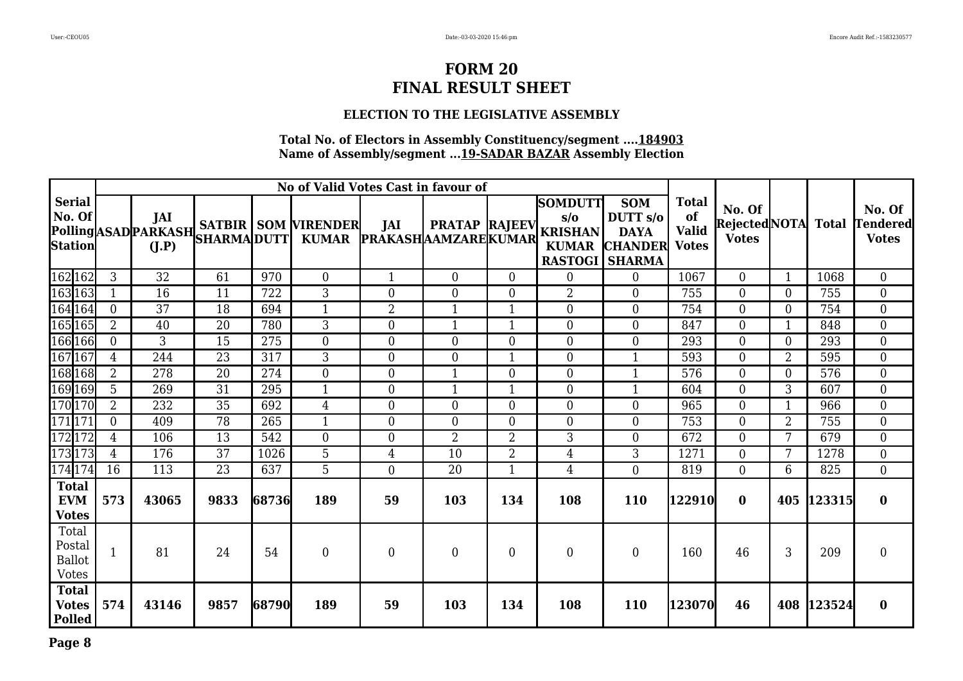### **ELECTION TO THE LEGISLATIVE ASSEMBLY**

|                                                  |                |                 |                    |       | No of Valid Votes Cast in favour of                      |                                   |                      |                  |                                                                                           |                                                                    |                                                    |                                               |                |            |                                    |
|--------------------------------------------------|----------------|-----------------|--------------------|-------|----------------------------------------------------------|-----------------------------------|----------------------|------------------|-------------------------------------------------------------------------------------------|--------------------------------------------------------------------|----------------------------------------------------|-----------------------------------------------|----------------|------------|------------------------------------|
| <b>Serial</b><br>No. Of<br><b>Station</b>        |                | JAI<br>(I.P)    | <b>SHARMA DUTT</b> |       | Polling ASAD PARKASH SATBIR SOM VIRENDER<br><b>KUMAR</b> | JAI<br><b>PRAKASHAAMZAREKUMAR</b> | <b>PRATAP RAJEEV</b> |                  | <b>SOMDUTT</b><br>$s/\sigma$<br><b>KRISHAN</b><br><b>KUMAR</b><br><b>RASTOGI   SHARMA</b> | <b>SOM</b><br>DUTT <sub>s/o</sub><br><b>DAYA</b><br><b>CHANDER</b> | <b>Total</b><br>of<br><b>Valid</b><br><b>Votes</b> | No. Of<br>Rejected NOTA Total<br><b>Votes</b> |                |            | No. Of<br>Tendered<br><b>Votes</b> |
| 162 162                                          | 3              | 32              | 61                 | 970   | $\Omega$                                                 | $\mathbf{1}$                      | $\Omega$             | $\theta$         | $\overline{0}$                                                                            | $\theta$                                                           | 1067                                               | $\overline{0}$                                | $\mathbf{1}$   | 1068       | $\overline{0}$                     |
| 163163                                           |                | 16              | 11                 | 722   | 3                                                        | $\overline{0}$                    | $\overline{0}$       | $\theta$         | $\overline{2}$                                                                            | $\overline{0}$                                                     | 755                                                | $\overline{0}$                                | 0              | 755        | $\overline{0}$                     |
| 164164                                           | $\overline{0}$ | $\overline{37}$ | 18                 | 694   | $\mathbf{1}$                                             | $\overline{2}$                    | 1                    | $\mathbf{1}$     | $\overline{0}$                                                                            | $\mathbf{0}$                                                       | 754                                                | $\overline{0}$                                | $\overline{0}$ | 754        | $\overline{0}$                     |
| 165 165                                          | $\overline{2}$ | 40              | 20                 | 780   | 3                                                        | $\theta$                          | 1                    | $\mathbf{1}$     | $\overline{0}$                                                                            | $\theta$                                                           | 847                                                | $\overline{0}$                                | $\mathbf{1}$   | 848        | $\overline{0}$                     |
| 166 166                                          | $\theta$       | 3               | 15                 | 275   | $\theta$                                                 | $\theta$                          | $\theta$             | $\theta$         | $\theta$                                                                                  | $\overline{0}$                                                     | 293                                                | $\Omega$                                      | 0              | 293        | $\overline{0}$                     |
| 167167                                           | 4              | 244             | 23                 | 317   | 3                                                        | $\overline{0}$                    | $\overline{0}$       | $\mathbf{1}$     | $\overline{0}$                                                                            | $\mathbf{1}$                                                       | 593                                                | $\overline{0}$                                | $\overline{2}$ | 595        | $\overline{0}$                     |
| 168 168                                          | $\overline{2}$ | 278             | 20                 | 274   | $\theta$                                                 | $\overline{0}$                    | $\mathbf{1}$         | $\overline{0}$   | $\overline{0}$                                                                            | $\mathbf{1}$                                                       | 576                                                | $\Omega$                                      | $\overline{0}$ | 576        | $\overline{0}$                     |
| 169 169                                          | 5              | 269             | 31                 | 295   | $\mathbf{1}$                                             | $\overline{0}$                    |                      |                  | $\theta$                                                                                  | 1                                                                  | 604                                                | $\overline{0}$                                | 3              | 607        | $\overline{0}$                     |
| 170170                                           | $\overline{2}$ | 232             | 35                 | 692   | $\overline{4}$                                           | $\boldsymbol{0}$                  | $\overline{0}$       | $\boldsymbol{0}$ | $\boldsymbol{0}$                                                                          | $\overline{0}$                                                     | 965                                                | $\boldsymbol{0}$                              | $\mathbf{1}$   | 966        | $\overline{0}$                     |
| 171 171                                          | $\theta$       | 409             | 78                 | 265   | $\mathbf{1}$                                             | $\overline{0}$                    | $\theta$             | $\overline{0}$   | $\theta$                                                                                  | $\theta$                                                           | 753                                                | $\overline{0}$                                | 2              | 755        | $\overline{0}$                     |
| 172172                                           | 4              | 106             | 13                 | 542   | $\overline{0}$                                           | $\overline{0}$                    | $\overline{2}$       | $\overline{2}$   | 3                                                                                         | $\overline{0}$                                                     | 672                                                | $\overline{0}$                                | 7              | 679        | $\overline{0}$                     |
| 173173                                           | 4              | 176             | 37                 | 1026  | $\overline{5}$                                           | $\overline{4}$                    | 10                   | $\overline{2}$   | 4                                                                                         | 3                                                                  | 1271                                               | $\overline{0}$                                | 7              | 1278       | $\overline{0}$                     |
| 174174                                           | 16             | 113             | 23                 | 637   | 5                                                        | $\theta$                          | 20                   | $\mathbf{1}$     | $\overline{4}$                                                                            | $\theta$                                                           | 819                                                | $\overline{0}$                                | 6              | 825        | $\overline{0}$                     |
| <b>Total</b><br><b>EVM</b><br><b>Votes</b>       | 573            | 43065           | 9833               | 68736 | 189                                                      | 59                                | 103                  | 134              | 108                                                                                       | <b>110</b>                                                         | 122910                                             | $\bf{0}$                                      |                | 405 123315 | $\bf{0}$                           |
| Total<br>Postal<br><b>Ballot</b><br><b>Votes</b> | $\mathbf{1}$   | 81              | 24                 | 54    | $\theta$                                                 | $\overline{0}$                    | $\Omega$             | $\theta$         | $\theta$                                                                                  | $\theta$                                                           | 160                                                | 46                                            | 3              | 209        | $\overline{0}$                     |
| <b>Total</b><br><b>Votes</b><br><b>Polled</b>    | 574            | 43146           | 9857               | 68790 | 189                                                      | 59                                | 103                  | 134              | 108                                                                                       | <b>110</b>                                                         | 123070                                             | 46                                            |                | 408 123524 | $\bf{0}$                           |